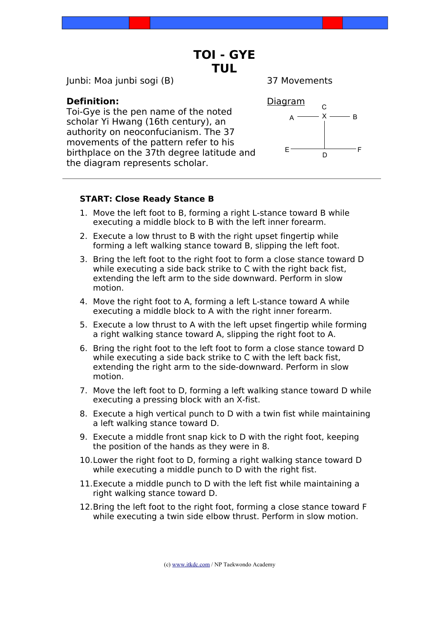# **TOI - GYE TUL**

Junbi: Moa junbi sogi (B) 37 Movements

# **Definition:**

Toi-Gye is the pen name of the noted scholar Yi Hwang (16th century), an authority on neoconfucianism. The 37 movements of the pattern refer to his birthplace on the 37th degree latitude and the diagram represents scholar.



# **START: Close Ready Stance B**

- 1. Move the left foot to B, forming a right L-stance toward B while executing a middle block to B with the left inner forearm.
- 2. Execute a low thrust to B with the right upset fingertip while forming a left walking stance toward B, slipping the left foot.
- 3. Bring the left foot to the right foot to form a close stance toward D while executing a side back strike to C with the right back fist. extending the left arm to the side downward. Perform in slow motion.
- 4. Move the right foot to A, forming a left L-stance toward A while executing a middle block to A with the right inner forearm.
- 5. Execute a low thrust to A with the left upset fingertip while forming a right walking stance toward A, slipping the right foot to A.
- 6. Bring the right foot to the left foot to form a close stance toward D while executing a side back strike to C with the left back fist, extending the right arm to the side-downward. Perform in slow motion.
- 7. Move the left foot to D, forming a left walking stance toward D while executing a pressing block with an X-fist.
- 8. Execute a high vertical punch to D with a twin fist while maintaining a left walking stance toward D.
- 9. Execute a middle front snap kick to D with the right foot, keeping the position of the hands as they were in 8.
- 10.Lower the right foot to D, forming a right walking stance toward D while executing a middle punch to D with the right fist.
- 11.Execute a middle punch to D with the left fist while maintaining a right walking stance toward D.
- 12.Bring the left foot to the right foot, forming a close stance toward F while executing a twin side elbow thrust. Perform in slow motion.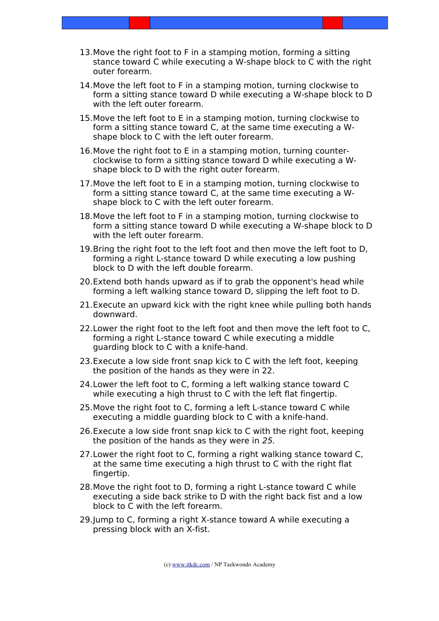- 13.Move the right foot to F in a stamping motion, forming a sitting stance toward C while executing a W-shape block to C with the right outer forearm.
- 14.Move the left foot to F in a stamping motion, turning clockwise to form a sitting stance toward D while executing a W-shape block to D with the left outer forearm.
- 15.Move the left foot to E in a stamping motion, turning clockwise to form a sitting stance toward C, at the same time executing a Wshape block to C with the left outer forearm.
- 16.Move the right foot to E in a stamping motion, turning counterclockwise to form a sitting stance toward D while executing a Wshape block to D with the right outer forearm.
- 17.Move the left foot to E in a stamping motion, turning clockwise to form a sitting stance toward C, at the same time executing a Wshape block to C with the left outer forearm.
- 18.Move the left foot to F in a stamping motion, turning clockwise to form a sitting stance toward D while executing a W-shape block to D with the left outer forearm.
- 19.Bring the right foot to the left foot and then move the left foot to D, forming a right L-stance toward D while executing a low pushing block to D with the left double forearm.
- 20.Extend both hands upward as if to grab the opponent's head while forming a left walking stance toward D, slipping the left foot to D.
- 21.Execute an upward kick with the right knee while pulling both hands downward.
- 22.Lower the right foot to the left foot and then move the left foot to C, forming a right L-stance toward C while executing a middle guarding block to C with a knife-hand.
- 23.Execute a low side front snap kick to C with the left foot, keeping the position of the hands as they were in 22.
- 24.Lower the left foot to C, forming a left walking stance toward C while executing a high thrust to C with the left flat fingertip.
- 25.Move the right foot to C, forming a left L-stance toward C while executing a middle guarding block to C with a knife-hand.
- 26.Execute a low side front snap kick to C with the right foot, keeping the position of the hands as they were in 25.
- 27.Lower the right foot to C, forming a right walking stance toward C, at the same time executing a high thrust to C with the right flat fingertip.
- 28.Move the right foot to D, forming a right L-stance toward C while executing a side back strike to D with the right back fist and a low block to C with the left forearm.
- 29.Jump to C, forming a right X-stance toward A while executing a pressing block with an X-fist.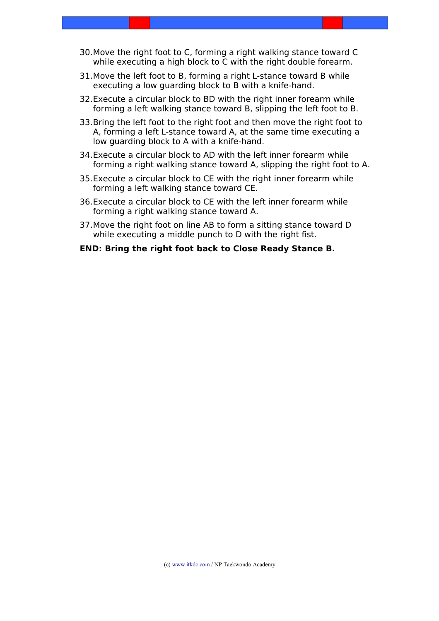- 30.Move the right foot to C, forming a right walking stance toward C while executing a high block to C with the right double forearm.
- 31.Move the left foot to B, forming a right L-stance toward B while executing a low guarding block to B with a knife-hand.
- 32.Execute a circular block to BD with the right inner forearm while forming a left walking stance toward B, slipping the left foot to B.
- 33.Bring the left foot to the right foot and then move the right foot to A, forming a left L-stance toward A, at the same time executing a low guarding block to A with a knife-hand.
- 34.Execute a circular block to AD with the left inner forearm while forming a right walking stance toward A, slipping the right foot to A.
- 35.Execute a circular block to CE with the right inner forearm while forming a left walking stance toward CE.
- 36.Execute a circular block to CE with the left inner forearm while forming a right walking stance toward A.
- 37.Move the right foot on line AB to form a sitting stance toward D while executing a middle punch to D with the right fist.

### **END: Bring the right foot back to Close Ready Stance B.**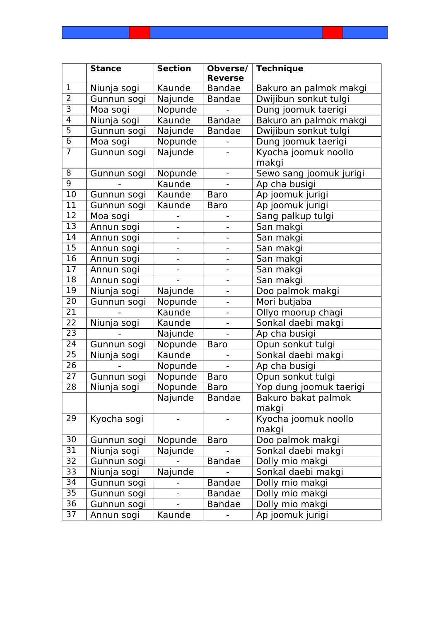|                 | <b>Stance</b> | <b>Section</b> | Obverse/<br><b>Reverse</b>   | <b>Technique</b>             |
|-----------------|---------------|----------------|------------------------------|------------------------------|
| $\mathbf{1}$    | Niunja sogi   | Kaunde         | <b>Bandae</b>                | Bakuro an palmok makgi       |
| $\overline{2}$  | Gunnun sogi   | Najunde        | <b>Bandae</b>                | Dwijibun sonkut tulgi        |
| $\overline{3}$  | Moa sogi      | Nopunde        |                              | Dung joomuk taerigi          |
| $\overline{4}$  | Niunja sogi   | Kaunde         | <b>Bandae</b>                | Bakuro an palmok makgi       |
| $\overline{5}$  | Gunnun sogi   | Najunde        | <b>Bandae</b>                | Dwijibun sonkut tulgi        |
| 6               | Moa sogi      | Nopunde        |                              | Dung joomuk taerigi          |
| $\overline{7}$  | Gunnun sogi   | Najunde        |                              | Kyocha joomuk noollo         |
|                 |               |                |                              | makgi                        |
| 8               | Gunnun sogi   | Nopunde        |                              | Sewo sang joomuk jurigi      |
| $\overline{9}$  |               | Kaunde         |                              | Ap cha busigi                |
| 10              | Gunnun sogi   | Kaunde         | <b>Baro</b>                  | Ap joomuk jurigi             |
| 11              | Gunnun sogi   | Kaunde         | <b>Baro</b>                  | Ap joomuk jurigi             |
| $\overline{12}$ | Moa sogi      |                |                              | Sang palkup tulgi            |
| 13              | Annun sogi    |                |                              | San makgi                    |
| 14              | Annun sogi    |                |                              | San makgi                    |
| $\overline{15}$ | Annun sogi    | -              |                              | San makgi                    |
| 16              | Annun sogi    |                |                              | San makgi                    |
| $\overline{17}$ | Annun sogi    |                |                              | San makgi                    |
| 18              | Annun sogi    |                |                              | San makgi                    |
| $\overline{19}$ | Niunja sogi   | Najunde        |                              | Doo palmok makgi             |
| 20              | Gunnun sogi   | Nopunde        | $\qquad \qquad \blacksquare$ | Mori butjaba                 |
| $\overline{21}$ |               | Kaunde         |                              | Ollyo moorup chagi           |
| 22              | Niunja sogi   | Kaunde         |                              | Sonkal daebi makgi           |
| 23              |               | Najunde        |                              | Ap cha busigi                |
| 24              | Gunnun sogi   | Nopunde        | <b>Baro</b>                  | Opun sonkut tulgi            |
| 25              | Niunja sogi   | Kaunde         |                              | Sonkal daebi makgi           |
| 26              |               | Nopunde        |                              | Ap cha busigi                |
| 27              | Gunnun sogi   | Nopunde        | <b>Baro</b>                  | Opun sonkut tulgi            |
| 28              | Niunja sogi   | Nopunde        | <b>Baro</b>                  | Yop dung joomuk taerigi      |
|                 |               | Najunde        | <b>Bandae</b>                | Bakuro bakat palmok<br>makgi |
| 29              | Kyocha sogi   |                |                              | Kyocha joomuk noollo         |
|                 |               |                |                              | makgi                        |
| 30              | Gunnun sogi   | Nopunde        | <b>Baro</b>                  | Doo palmok makgi             |
| 31              | Niunja sogi   | Najunde        |                              | Sonkal daebi makgi           |
| 32              | Gunnun sogi   |                | <b>Bandae</b>                | Dolly mio makgi              |
| 33              | Niunja sogi   | Najunde        |                              | Sonkal daebi makgi           |
| 34              | Gunnun sogi   |                | <b>Bandae</b>                | Dolly mio makgi              |
| $\overline{35}$ | Gunnun sogi   |                | <b>Bandae</b>                | Dolly mio makgi              |
| 36              | Gunnun sogi   |                | <b>Bandae</b>                | Dolly mio makgi              |
| 37              | Annun sogi    | Kaunde         |                              | Ap joomuk jurigi             |